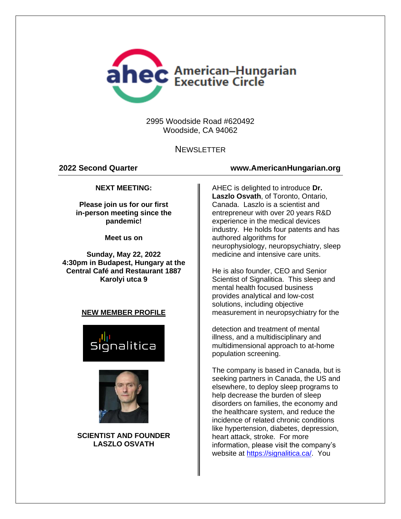

2995 Woodside Road #620492 Woodside, CA 94062

# **NEWSLETTER**

# **2022 Second Quarter www.AmericanHungarian.org**

**NEXT MEETING:**

**Please join us for our first in-person meeting since the pandemic!**

**Meet us on**

**Sunday, May 22, 2022 4:30pm in Budapest, Hungary at the Central Café and Restaurant 1887 Karolyi utca 9**

# **NEW MEMBER PROFILE**





**SCIENTIST AND FOUNDER LASZLO OSVATH**

AHEC is delighted to introduce **Dr. Laszlo Osvath**, of Toronto, Ontario, Canada. Laszlo is a scientist and entrepreneur with over 20 years R&D experience in the medical devices industry. He holds four patents and has authored algorithms for neurophysiology, neuropsychiatry, sleep medicine and intensive care units.

He is also founder, CEO and Senior Scientist of Signalitica. This sleep and mental health focused business provides analytical and low-cost solutions, including objective measurement in neuropsychiatry for the

detection and treatment of mental illness, and a multidisciplinary and multidimensional approach to at-home population screening.

The company is based in Canada, but is seeking partners in Canada, the US and elsewhere, to deploy sleep programs to help decrease the burden of sleep disorders on families, the economy and the healthcare system, and reduce the incidence of related chronic conditions like hypertension, diabetes, depression, heart attack, stroke. For more information, please visit the company's website at [https://signalitica.ca/.](https://signalitica.ca/) You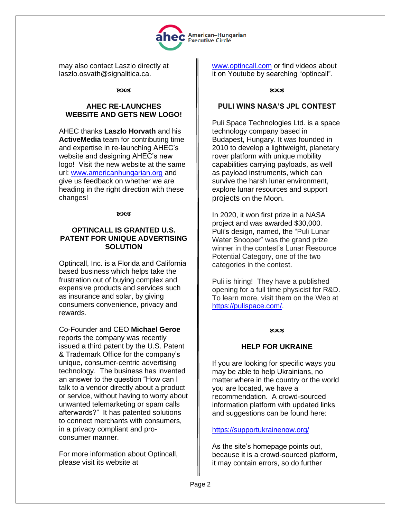

may also contact Laszlo directly at laszlo.osvath@signalitica.ca.

 $x^{(n)}$ 

## **AHEC RE-LAUNCHES WEBSITE AND GETS NEW LOGO!**

AHEC thanks **Laszlo Horvath** and his **ActiveMedia** team for contributing time and expertise in re-launching AHEC's website and designing AHEC's new logo! Visit the new website at the same url: [www.americanhungarian.org](http://www.americanhungarian.org/) and give us feedback on whether we are heading in the right direction with these changes!

#### **ROCK**

## **OPTINCALL IS GRANTED U.S. PATENT FOR UNIQUE ADVERTISING SOLUTION**

Optincall, Inc. is a Florida and California based business which helps take the frustration out of buying complex and expensive products and services such as insurance and solar, by giving consumers convenience, privacy and rewards.

Co-Founder and CEO **Michael Geroe** reports the company was recently issued a third patent by the U.S. Patent & Trademark Office for the company's unique, consumer-centric advertising technology. The business has invented an answer to the question "How can I talk to a vendor directly about a product or service, without having to worry about unwanted telemarketing or spam calls afterwards?" It has patented solutions to connect merchants with consumers, in a privacy compliant and proconsumer manner.

For more information about Optincall, please visit its website at

[www.optincall.com](http://www.optincall.com/) or find videos about it on Youtube by searching "optincall".

**ROCK** 

## **PULI WINS NASA'S JPL CONTEST**

Puli Space Technologies Ltd. is a space technology company based in Budapest, Hungary. It was founded in 2010 to develop a lightweight, planetary rover platform with unique mobility capabilities carrying payloads, as well as payload instruments, which can survive the harsh lunar environment. explore lunar resources and support projects on the Moon.

In 2020, it won first prize in a NASA project and was awarded \$30,000. Puli's design, named, the "Puli Lunar Water Snooper" was the grand prize winner in the contest's Lunar Resource Potential Category, one of the two categories in the contest.

Puli is hiring! They have a published opening for a full time physicist for R&D. To learn more, visit them on the Web at [https://pulispace.com/.](https://pulispace.com/)

#### ುಂತ

# **HELP FOR UKRAINE**

If you are looking for specific ways you may be able to help Ukrainians, no matter where in the country or the world you are located, we have a recommendation. A crowd-sourced information platform with updated links and suggestions can be found here:

# <https://supportukrainenow.org/>

As the site's homepage points out, because it is a crowd-sourced platform, it may contain errors, so do further